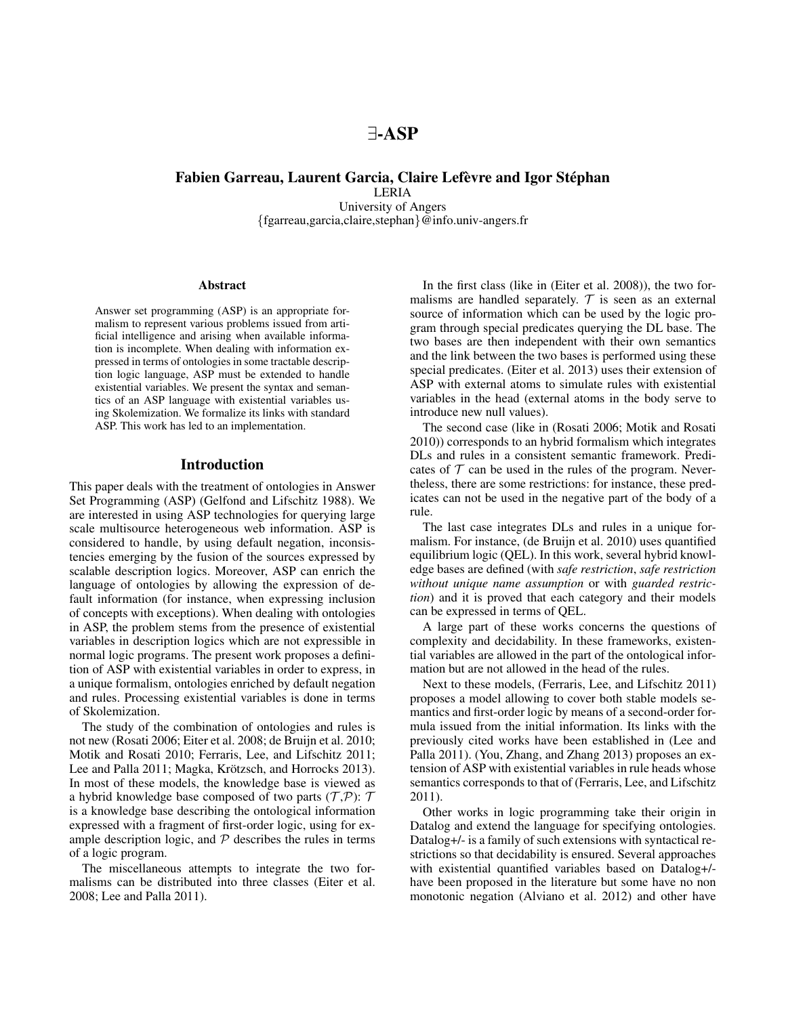# Fabien Garreau, Laurent Garcia, Claire Lefèvre and Igor Stéphan

LERIA University of Angers {fgarreau,garcia,claire,stephan}@info.univ-angers.fr

#### Abstract

Answer set programming (ASP) is an appropriate formalism to represent various problems issued from artificial intelligence and arising when available information is incomplete. When dealing with information expressed in terms of ontologies in some tractable description logic language, ASP must be extended to handle existential variables. We present the syntax and semantics of an ASP language with existential variables using Skolemization. We formalize its links with standard ASP. This work has led to an implementation.

# Introduction

This paper deals with the treatment of ontologies in Answer Set Programming (ASP) (Gelfond and Lifschitz 1988). We are interested in using ASP technologies for querying large scale multisource heterogeneous web information. ASP is considered to handle, by using default negation, inconsistencies emerging by the fusion of the sources expressed by scalable description logics. Moreover, ASP can enrich the language of ontologies by allowing the expression of default information (for instance, when expressing inclusion of concepts with exceptions). When dealing with ontologies in ASP, the problem stems from the presence of existential variables in description logics which are not expressible in normal logic programs. The present work proposes a definition of ASP with existential variables in order to express, in a unique formalism, ontologies enriched by default negation and rules. Processing existential variables is done in terms of Skolemization.

The study of the combination of ontologies and rules is not new (Rosati 2006; Eiter et al. 2008; de Bruijn et al. 2010; Motik and Rosati 2010; Ferraris, Lee, and Lifschitz 2011; Lee and Palla 2011; Magka, Krötzsch, and Horrocks 2013). In most of these models, the knowledge base is viewed as a hybrid knowledge base composed of two parts  $(\mathcal{T}, \mathcal{P})$ :  $\mathcal T$ is a knowledge base describing the ontological information expressed with a fragment of first-order logic, using for example description logic, and  $P$  describes the rules in terms of a logic program.

The miscellaneous attempts to integrate the two formalisms can be distributed into three classes (Eiter et al. 2008; Lee and Palla 2011).

In the first class (like in (Eiter et al. 2008)), the two formalisms are handled separately.  $T$  is seen as an external source of information which can be used by the logic program through special predicates querying the DL base. The two bases are then independent with their own semantics and the link between the two bases is performed using these special predicates. (Eiter et al. 2013) uses their extension of ASP with external atoms to simulate rules with existential variables in the head (external atoms in the body serve to introduce new null values).

The second case (like in (Rosati 2006; Motik and Rosati 2010)) corresponds to an hybrid formalism which integrates DLs and rules in a consistent semantic framework. Predicates of  $T$  can be used in the rules of the program. Nevertheless, there are some restrictions: for instance, these predicates can not be used in the negative part of the body of a rule.

The last case integrates DLs and rules in a unique formalism. For instance, (de Bruijn et al. 2010) uses quantified equilibrium logic (QEL). In this work, several hybrid knowledge bases are defined (with *safe restriction*, *safe restriction without unique name assumption* or with *guarded restriction*) and it is proved that each category and their models can be expressed in terms of QEL.

A large part of these works concerns the questions of complexity and decidability. In these frameworks, existential variables are allowed in the part of the ontological information but are not allowed in the head of the rules.

Next to these models, (Ferraris, Lee, and Lifschitz 2011) proposes a model allowing to cover both stable models semantics and first-order logic by means of a second-order formula issued from the initial information. Its links with the previously cited works have been established in (Lee and Palla 2011). (You, Zhang, and Zhang 2013) proposes an extension of ASP with existential variables in rule heads whose semantics corresponds to that of (Ferraris, Lee, and Lifschitz 2011).

Other works in logic programming take their origin in Datalog and extend the language for specifying ontologies. Datalog+/- is a family of such extensions with syntactical restrictions so that decidability is ensured. Several approaches with existential quantified variables based on Datalog+/ have been proposed in the literature but some have no non monotonic negation (Alviano et al. 2012) and other have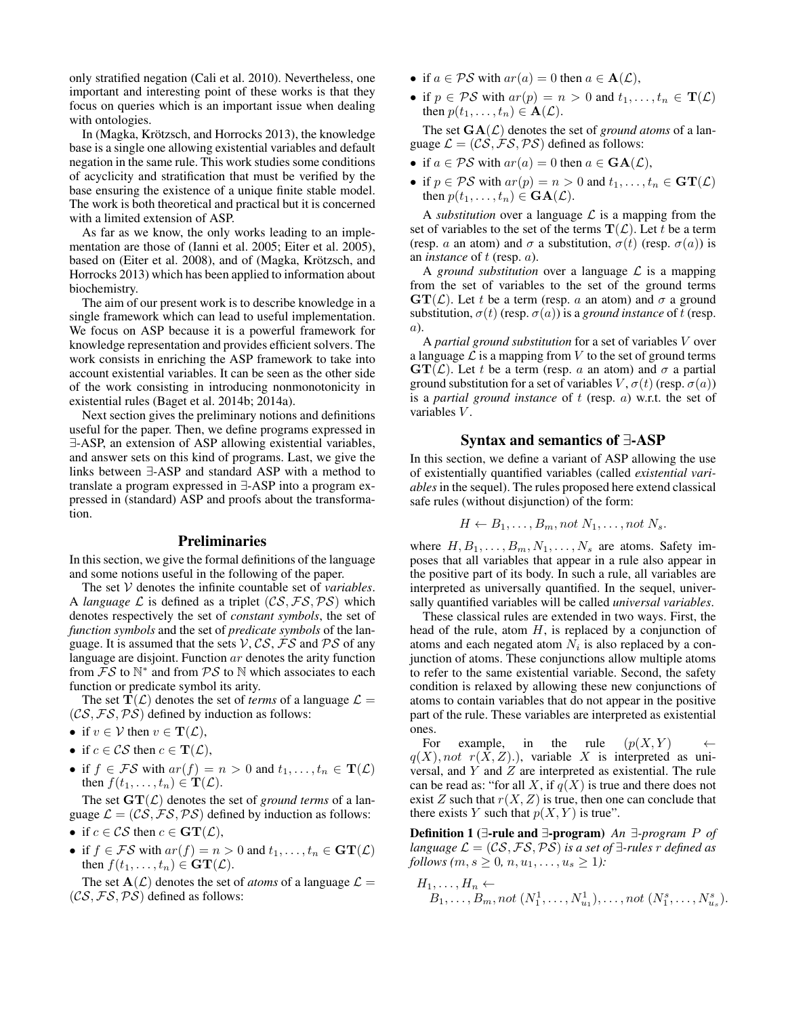only stratified negation (Cali et al. 2010). Nevertheless, one important and interesting point of these works is that they focus on queries which is an important issue when dealing with ontologies.

In (Magka, Krötzsch, and Horrocks 2013), the knowledge base is a single one allowing existential variables and default negation in the same rule. This work studies some conditions of acyclicity and stratification that must be verified by the base ensuring the existence of a unique finite stable model. The work is both theoretical and practical but it is concerned with a limited extension of ASP.

As far as we know, the only works leading to an implementation are those of (Ianni et al. 2005; Eiter et al. 2005), based on (Eiter et al. 2008), and of (Magka, Krötzsch, and Horrocks 2013) which has been applied to information about biochemistry.

The aim of our present work is to describe knowledge in a single framework which can lead to useful implementation. We focus on ASP because it is a powerful framework for knowledge representation and provides efficient solvers. The work consists in enriching the ASP framework to take into account existential variables. It can be seen as the other side of the work consisting in introducing nonmonotonicity in existential rules (Baget et al. 2014b; 2014a).

Next section gives the preliminary notions and definitions useful for the paper. Then, we define programs expressed in ∃-ASP, an extension of ASP allowing existential variables, and answer sets on this kind of programs. Last, we give the links between ∃-ASP and standard ASP with a method to translate a program expressed in ∃-ASP into a program expressed in (standard) ASP and proofs about the transformation.

### Preliminaries

In this section, we give the formal definitions of the language and some notions useful in the following of the paper.

The set V denotes the infinite countable set of *variables*. A *language* L is defined as a triplet  $(CS, FS, PS)$  which denotes respectively the set of *constant symbols*, the set of *function symbols* and the set of *predicate symbols* of the language. It is assumed that the sets  $V$ ,  $CS$ ,  $\overline{FS}$  and  $\overline{PS}$  of any language are disjoint. Function ar denotes the arity function from  $\overline{FS}$  to  $\mathbb{N}^*$  and from  $\overline{PS}$  to  $\mathbb N$  which associates to each function or predicate symbol its arity.

The set  $T(\mathcal{L})$  denotes the set of *terms* of a language  $\mathcal{L} =$  $(CS, FS, PS)$  defined by induction as follows:

- if  $v \in \mathcal{V}$  then  $v \in \mathbf{T}(\mathcal{L}),$
- if  $c \in \mathcal{CS}$  then  $c \in \mathbf{T}(\mathcal{L}),$
- if  $f \in \mathcal{FS}$  with  $ar(f) = n > 0$  and  $t_1, \ldots, t_n \in \mathbf{T}(\mathcal{L})$ then  $f(t_1, \ldots, t_n) \in \mathbf{T}(\mathcal{L})$ .

The set  $\mathbf{GT}(\mathcal{L})$  denotes the set of *ground terms* of a language  $\mathcal{L} = (\mathcal{C}\mathcal{S}, \mathcal{FS}, \mathcal{PS})$  defined by induction as follows:

- if  $c \in \mathcal{CS}$  then  $c \in \mathbf{GT}(\mathcal{L}),$
- if  $f \in \mathcal{FS}$  with  $ar(f) = n > 0$  and  $t_1, \ldots, t_n \in \mathbf{GT}(\mathcal{L})$ then  $f(t_1, \ldots, t_n) \in \mathbf{GT}(\mathcal{L}).$

The set  $A(\mathcal{L})$  denotes the set of *atoms* of a language  $\mathcal{L} =$  $(CS, FS, PS)$  defined as follows:

- if  $a \in \mathcal{PS}$  with  $ar(a) = 0$  then  $a \in \mathbf{A}(\mathcal{L}),$
- if  $p \in \mathcal{PS}$  with  $ar(p) = n > 0$  and  $t_1, \ldots, t_n \in \mathbf{T}(\mathcal{L})$ then  $p(t_1, \ldots, t_n) \in \mathbf{A}(\mathcal{L})$ .

The set  $GA(\mathcal{L})$  denotes the set of *ground atoms* of a language  $\mathcal{L} = (\mathcal{C}\mathcal{S}, \mathcal{F}\mathcal{S}, \mathcal{P}\mathcal{S})$  defined as follows:

- if  $a \in PS$  with  $ar(a) = 0$  then  $a \in \text{GA}(\mathcal{L}),$
- if  $p \in \mathcal{PS}$  with  $ar(p) = n > 0$  and  $t_1, \ldots, t_n \in \mathbf{GT}(\mathcal{L})$ then  $p(t_1, \ldots, t_n) \in \mathbf{GA}(\mathcal{L}).$

A *substitution* over a language  $\mathcal L$  is a mapping from the set of variables to the set of the terms  $\mathbf{T}(\mathcal{L})$ . Let t be a term (resp. a an atom) and  $\sigma$  a substitution,  $\sigma(t)$  (resp.  $\sigma(a)$ ) is an *instance* of t (resp. a).

A *ground substitution* over a language  $\mathcal L$  is a mapping from the set of variables to the set of the ground terms  $\mathbf{GT}(\mathcal{L})$ . Let t be a term (resp. a an atom) and  $\sigma$  a ground substitution,  $\sigma(t)$  (resp.  $\sigma(a)$ ) is a *ground instance* of t (resp. a).

A *partial ground substitution* for a set of variables V over a language  $\mathcal L$  is a mapping from V to the set of ground terms  $\mathbf{GT}(\mathcal{L})$ . Let t be a term (resp. a an atom) and  $\sigma$  a partial ground substitution for a set of variables  $V, \sigma(t)$  (resp.  $\sigma(a)$ ) is a *partial ground instance* of t (resp. a) w.r.t. the set of variables V.

## Syntax and semantics of ∃-ASP

In this section, we define a variant of ASP allowing the use of existentially quantified variables (called *existential variables* in the sequel). The rules proposed here extend classical safe rules (without disjunction) of the form:

$$
H \leftarrow B_1, \ldots, B_m, not N_1, \ldots, not N_s.
$$

where  $H, B_1, \ldots, B_m, N_1, \ldots, N_s$  are atoms. Safety imposes that all variables that appear in a rule also appear in the positive part of its body. In such a rule, all variables are interpreted as universally quantified. In the sequel, universally quantified variables will be called *universal variables*.

These classical rules are extended in two ways. First, the head of the rule, atom  $H$ , is replaced by a conjunction of atoms and each negated atom  $N_i$  is also replaced by a conjunction of atoms. These conjunctions allow multiple atoms to refer to the same existential variable. Second, the safety condition is relaxed by allowing these new conjunctions of atoms to contain variables that do not appear in the positive part of the rule. These variables are interpreted as existential ones.

For example, in the rule  $(p(X, Y) \leftarrow$  $q(X)$ , not  $r(\hat{X}, Z)$ .), variable X is interpreted as universal, and Y and Z are interpreted as existential. The rule can be read as: "for all X, if  $q(X)$  is true and there does not exist Z such that  $r(X, Z)$  is true, then one can conclude that there exists Y such that  $p(X, Y)$  is true".

Definition 1 (∃-rule and ∃-program) *An* ∃*-program* P *of language*  $\mathcal{L} = (\mathcal{C}\mathcal{S}, \mathcal{F}\mathcal{S}, \mathcal{P}\mathcal{S})$  *is a set of*  $\exists$ -rules r *defined as follows*  $(m, s \geq 0, n, u_1, \ldots, u_s \geq 1)$ *:* 

$$
H_1, ..., H_n \leftarrow
$$
  
\n $B_1, ..., B_m, not (N_1^1, ..., N_{u_1}^1), ..., not (N_1^s, ..., N_{u_s}^s).$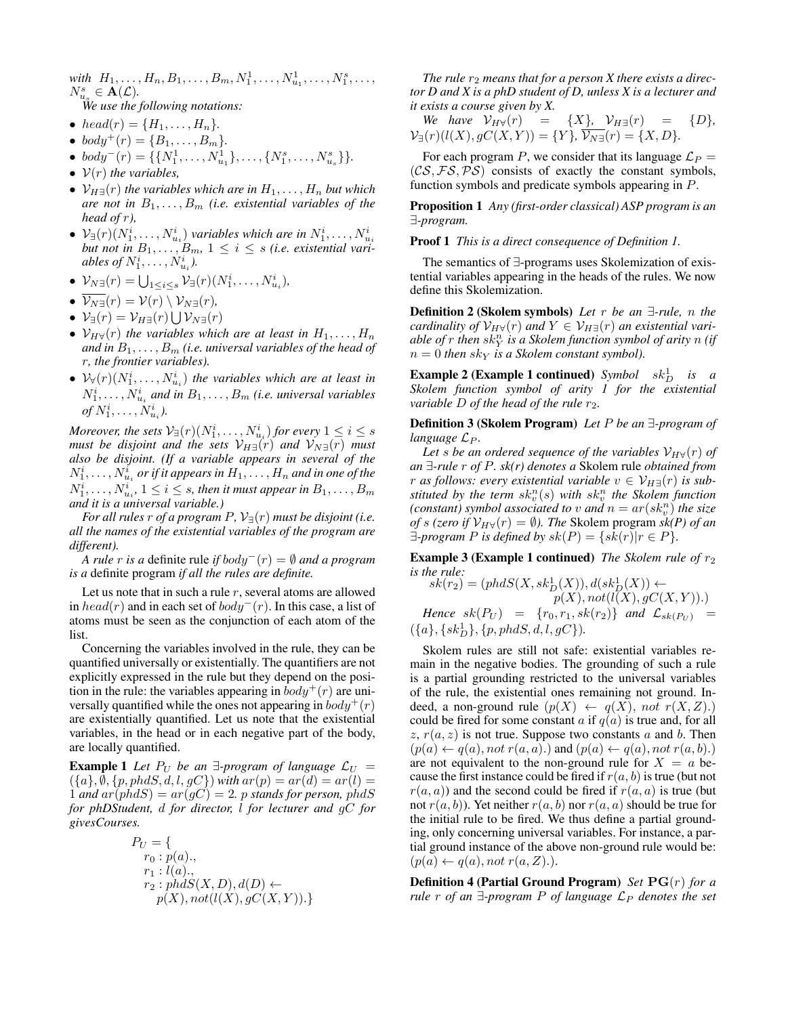*with*  $H_1, \ldots, H_n, B_1, \ldots, B_m, N_1^1, \ldots, N_{u_1}^1, \ldots, N_1^s, \ldots,$  $N_{u_s}^s \in \mathbf{A}(\mathcal{L}).$ 

*We use the following notations:*

- $head(r) = \{H_1, \ldots, H_n\}.$
- $body^+(r) = \{B_1, \ldots, B_m\}.$
- $body^-(r) = \{\{N_1^1, \ldots, N_{u_1}^1\}, \ldots, \{N_1^s, \ldots, N_{u_s}^s\}\}.$
- $V(r)$  *the variables,*
- $\mathcal{V}_{H\exists}(r)$  *the variables which are in*  $H_1, \ldots, H_n$  *but which are not in*  $B_1, \ldots, B_m$  *(i.e. existential variables of the head of* r*),*
- $\bullet \; \mathcal{V}_{\exists}(r)(N_1^i, \ldots, N_{u_i}^i)$  variables which are in  $N_1^i, \ldots, N_{u_i}^i$  but not in  $B_1, \ldots, B_m$ ,  $1 \leq i \leq s$  *(i.e. existential variables of*  $N_1^i, \ldots, N_{u_i}^i$ .
- $\mathcal{V}_{N\exists}(r) = \bigcup_{1 \leq i \leq s} \mathcal{V}_{\exists}(r)(N_1^i, \ldots, N_{u_i}^i)$
- $\overline{\mathcal{V}_{N\exists}}(r) = \mathcal{V}(r) \setminus \mathcal{V}_{N\exists}(r)$ ,
- $\mathcal{V}_{\exists}(r) = \mathcal{V}_{H\exists}(r) \bigcup \mathcal{V}_{N\exists}(r)$
- $\mathcal{V}_{H\forall}(r)$  *the variables which are at least in*  $H_1, \ldots, H_n$ and in  $B_1, \ldots, B_m$  *(i.e. universal variables of the head of* r*, the frontier variables).*
- $\mathcal{V}_{\forall}(r)(N_1^i, \ldots, N_{u_i}^i)$  the variables which are at least in  $N_1^i, \ldots, N_{u_i}^i$  and in  $B_1, \ldots, B_m$  *(i.e. universal variables of*  $N_1^i, ..., N_{u_i}^i$ .

*Moreover, the sets*  $\mathcal{V}_{\exists}(r)(N_1^i, \ldots, N_{u_i}^i)$  *for every*  $1 \leq i \leq s$ *must be disjoint and the sets*  $V_{H\exists}(r)$  *and*  $V_{N\exists}(r)$  *must also be disjoint. (If a variable appears in several of the*  $N_1^i, \ldots, N_{u_i}^i$  or if it appears in  $H_1, \ldots, H_n$  and in one of the  $N_1^i, \ldots, N_{u_i}^i, \, 1 \leq i \leq s$ , then it must appear in  $B_1, \ldots, B_m$ *and it is a universal variable.)*

*For all rules* r *of a program*  $P$ ,  $V_{\exists}(r)$  *must be disjoint (i.e. all the names of the existential variables of the program are different).*

*A rule* r *is a* definite rule *if* body<sup>−</sup>(r) = ∅ *and a program is a* definite program *if all the rules are definite.*

Let us note that in such a rule  $r$ , several atoms are allowed in  $head(r)$  and in each set of  $body^-(r)$ . In this case, a list of atoms must be seen as the conjunction of each atom of the list.

Concerning the variables involved in the rule, they can be quantified universally or existentially. The quantifiers are not explicitly expressed in the rule but they depend on the position in the rule: the variables appearing in  $body^+(r)$  are universally quantified while the ones not appearing in  $body^+(r)$ are existentially quantified. Let us note that the existential variables, in the head or in each negative part of the body, are locally quantified.

**Example 1** Let  $P_U$  be an  $\exists$ -program of language  $\mathcal{L}_U$  =  $({a}, \emptyset, \{p, phdS, d, l, gC\})$  *with*  $ar(p) = ar(d) = ar(l)$ 1 *and*  $ar(phdS) = ar(gC) = 2$ *. p stands for person, phdS for phDStudent,* d *for director,* l *for lecturer and* gC *for givesCourses.*

$$
P_U = \{ \n\begin{aligned}\nr_0: p(a), \\
r_1: l(a), \\
r_2: phdS(X, D), d(D) \leftarrow \\
p(X), not(l(X), gC(X, Y)).\n\end{aligned}\n\}
$$

The rule  $r_2$  means that for a person  $X$  there exists a direc*tor D and X is a phD student of D, unless X is a lecturer and it exists a course given by X.*

We have 
$$
V_{H\forall}(r) = \{X\}
$$
,  $V_{H\exists}(r) = \{D\}$ ,  
\n $V_{\exists}(r)(l(X), gC(X, Y)) = \{Y\}$ ,  $V_{N\exists}(r) = \{X, D\}$ .

For each program P, we consider that its language  $\mathcal{L}_P$  =  $(CS, FS, PS)$  consists of exactly the constant symbols, function symbols and predicate symbols appearing in P.

Proposition 1 *Any (first-order classical) ASP program is an* ∃*-program.*

Proof 1 *This is a direct consequence of Definition 1.*

The semantics of ∃-programs uses Skolemization of existential variables appearing in the heads of the rules. We now define this Skolemization.

Definition 2 (Skolem symbols) *Let* r *be an* ∃*-rule,* n *the cardinality of*  $\mathcal{V}_{H\forall}(r)$  *and*  $Y \in \mathcal{V}_{H\exists}(r)$  *an existential vari* $a$ ble of  $r$  then  $sk_Y^n$  is a Skolem function symbol of arity  $n$  (if  $n = 0$  *then*  $sk<sub>Y</sub>$  *is a Skolem constant symbol*).

**Example 2 (Example 1 continued)** Symbol  $sk_D^1$  is a *Skolem function symbol of arity 1 for the existential variable*  $D$  *of the head of the rule*  $r_2$ *.* 

Definition 3 (Skolem Program) *Let* P *be an* ∃*-program of language*  $\mathcal{L}_P$ *.* 

Let *s* be an ordered sequence of the variables  $V_{H\forall}(r)$  of *an* ∃*-rule* r *of* P*. sk(r) denotes a* Skolem rule *obtained from r* as follows: every existential variable  $v \in V_{H}(\mathcal{F})$  is sub*stituted by the term*  $sk_v^n(s)$  *with*  $sk_v^n$  *the Skolem function (constant) symbol associated to v and*  $n = ar(sk_v^n)$  *the size of* s (zero if  $V_{H\forall}(r) = \emptyset$ ). The Skolem program sk(P) of an  $\exists$ -program *P* is defined by  $sk(P) = \{sk(r)|r \in P\}.$ 

**Example 3 (Example 1 continued)** *The Skolem rule of*  $r_2$ *is the rule:*

 $sk(r_2) = (ph dS(X, sk_D^1(X)), d(sk_D^1(X)) \leftarrow$  $p(X), not(\overline{l(X)},\overline{gC(X,Y)}).$ *Hence*  $sk(P_U) = \{r_0, r_1, sk(r_2)\}$  *and*  $\mathcal{L}_{sk(P_U)} =$  $({a}, {sk_D^1}, {p, phdS, d, l, gC}).$ 

Skolem rules are still not safe: existential variables remain in the negative bodies. The grounding of such a rule is a partial grounding restricted to the universal variables of the rule, the existential ones remaining not ground. Indeed, a non-ground rule  $(p(X) \leftarrow q(X)$ , not  $r(X, Z)$ . could be fired for some constant a if  $q(a)$  is true and, for all  $z, r(a, z)$  is not true. Suppose two constants a and b. Then  $(p(a) \leftarrow q(a), not \ r(a, a).)$  and  $(p(a) \leftarrow q(a), not \ r(a, b).)$ are not equivalent to the non-ground rule for  $X = a$  because the first instance could be fired if  $r(a, b)$  is true (but not  $r(a, a)$ ) and the second could be fired if  $r(a, a)$  is true (but not  $r(a, b)$ ). Yet neither  $r(a, b)$  nor  $r(a, a)$  should be true for the initial rule to be fired. We thus define a partial grounding, only concerning universal variables. For instance, a partial ground instance of the above non-ground rule would be:  $(p(a) \leftarrow q(a), not \ r(a, Z).).$ 

Definition 4 (Partial Ground Program) *Set* PG(r) *for a rule* r *of an*  $\exists$ -program P *of language*  $\mathcal{L}_P$  *denotes the set*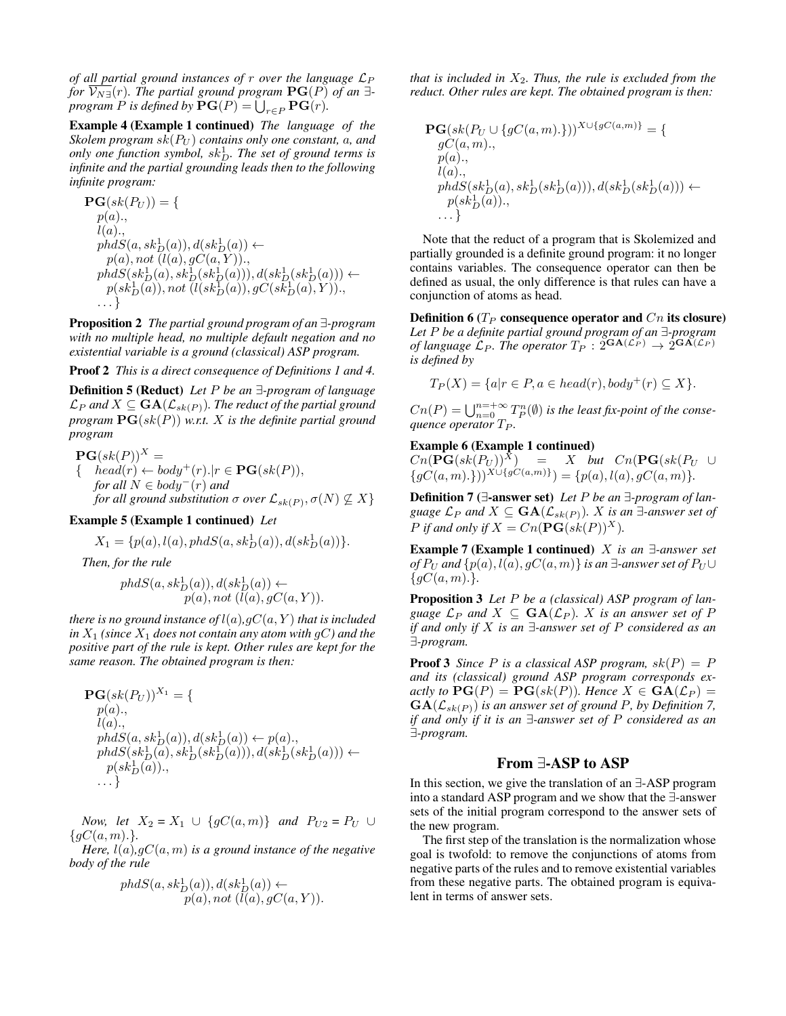*of all partial ground instances of*  $r$  *over the language*  $\mathcal{L}_P$ *for*  $\overline{V_{N}}$ <sup> $\exists$ </sup>(*r*)*. The partial ground program*  $\mathbf{PG}(P)$  *of an*  $\exists$ *program*  $P$  *is defined by*  $\mathbf{PG}(P) = \bigcup_{r \in P} \mathbf{PG}(r)$ *.* 

Example 4 (Example 1 continued) *The language of the Skolem program*  $sk(P_U)$  *contains only one constant, a, and*  $\omega$ *only one function symbol,*  $sk_D^1$ *. The set of ground terms is infinite and the partial grounding leads then to the following infinite program:*

 $PG(sk(P_U)) = \{$  $p(a)$ .,  $l(a)$ .,  $phdS(a, sk_D^1(a)), d(sk_D^1(a)) \leftarrow$  $p(a)$ , not  $(l(a), gC(a, Y))$ .,  $phdS({sk}_D^1(a),{sk}_D^1({sk}_D^1(a))),d({sk}_D^1({sk}_D^1(a))) \leftarrow$  $p({sk}_D^1(\tilde{a})), not \ (\tilde{l}(sk_D^1(a)), gC(s\tilde{k}_D^1(\tilde{a)}, Y)). ,$ . . . }

Proposition 2 *The partial ground program of an* ∃*-program with no multiple head, no multiple default negation and no existential variable is a ground (classical) ASP program.*

Proof 2 *This is a direct consequence of Definitions 1 and 4.*

Definition 5 (Reduct) *Let* P *be an* ∃*-program of language*  $\mathcal{L}_P$  and  $X \subseteq \mathbf{GA}(\mathcal{L}_{sk(P)})$ . The reduct of the partial ground *program* PG(sk(P)) *w.r.t.* X *is the definite partial ground program*

$$
\begin{aligned} \mathbf{PG}(sk(P))^X &= \\ \{ \quad head(r) \leftarrow body^+(r). | r \in \mathbf{PG}(sk(P)), \\ \text{for all } N \in body^-(r) \text{ and} \\ \text{for all ground substitution } \sigma \text{ over } \mathcal{L}_{sk(P)}, \sigma(N) \not\subseteq X \} \end{aligned}
$$

#### Example 5 (Example 1 continued) *Let*

$$
X_1 = \{p(a), l(a), phdS(a, sk_D^1(a)), d(sk_D^1(a))\}.
$$

*Then, for the rule*

$$
phdS(a, sk_D^1(a)), d(sk_D^1(a)) \leftarrow p(a), not (l(a), gC(a, Y)).
$$

*there is no ground instance of*  $l(a)$ *,gC* $(a, Y)$  *that is included in*  $X_1$  *(since*  $X_1$  *does not contain any atom with gC) and the positive part of the rule is kept. Other rules are kept for the same reason. The obtained program is then:*

$$
\begin{array}{l} {\bf PG}(sk(P_U))^{X_1} = \{ \\ p(a),\\ l(a),\\ phdS(a,sk_D^1(a)), d(sk_D^1(a)) \leftarrow p(a),\\ phdS(sk_D^1(a), sk_D^1(sk_D^1(a))), d(sk_D^1(sk_D^1(a))) \leftarrow \\ p(sk_D^1(a)),\\ . . . \} \end{array}
$$

*Now, let*  $X_2 = X_1 \cup \{gC(a, m)\}\$  *and*  $P_{U2} = P_U \cup$  ${qC(a,m).}$ 

*Here,* l(a)*,*gC(a, m) *is a ground instance of the negative body of the rule*

$$
phdS(a, sk_D^1(a)), d(sk_D^1(a)) \leftarrow
$$
  
 
$$
p(a), not (l(a), gC(a, Y)).
$$

*that is included in*  $X_2$ *. Thus, the rule is excluded from the reduct. Other rules are kept. The obtained program is then:*

$$
\begin{aligned} &\mathbf{PG}(sk(P_U \cup \{gC(a, m). \}))^{X \cup \{gC(a, m)\}} = \{ \\ &\begin{matrix} gC(a, m), \\ p(a), \\ l(a), \\ phdS(sk_D^1(a), sk_D^1(sk_D^1(a))), d(sk_D^1(sk_D^1(a))) \leftarrow \\ &\begin{matrix} p(sk_D^1(a)), \\ \cdots \end{matrix} \end{aligned}
$$

Note that the reduct of a program that is Skolemized and partially grounded is a definite ground program: it no longer contains variables. The consequence operator can then be defined as usual, the only difference is that rules can have a conjunction of atoms as head.

Definition 6 ( $T_P$  consequence operator and  $C_n$  its closure) *Let* P *be a definite partial ground program of an* ∃*-program of language*  $\mathcal{L}_P$ . The operator  $T_P : 2^{G_{\mathbf{A}}(\mathcal{L}_P)} \rightarrow 2^{G_{\mathbf{A}}(\mathcal{L}_P)}$ *is defined by*

$$
T_P(X) = \{a | r \in P, a \in head(r), body^+(r) \subseteq X\}.
$$

 $Cn(P) = \bigcup_{n=0}^{n=+\infty} T_P^n(\emptyset)$  is the least fix-point of the conse*quence operator*  $T_P$ *.* 

#### Example 6 (Example 1 continued)

 $Cn(\overline{\mathbf{PG}}(sk(P_U))^{\bar{X}}) = X \quad but \quad Cn(\mathbf{PG}(sk(P_U \cup$  $\{gC(a,m). \}\)^{X \cup \{gC(a,m)\}} = \{p(a), l(a), gC(a,m)\}.$ 

Definition 7 (∃-answer set) *Let* P *be an* ∃*-program of language*  $\mathcal{L}_P$  *and*  $X \subseteq \mathbf{GA}(\mathcal{L}_{sk(P)})$ *.* X *is an*  $\exists$ *-answer set of P* if and only if  $X = Cn(\mathbf{PG}(sk(P))^X)$ .

Example 7 (Example 1 continued) X *is an* ∃*-answer set of*  $P_U$  *and*  $\{p(a), l(a), gC(a, m)\}\$  *is an* ∃*-answer set of*  $P_U \cup$  ${gC(a,m).}$ 

Proposition 3 *Let* P *be a (classical) ASP program of language*  $\mathcal{L}_P$  *and*  $X \subseteq \textbf{GA}(\mathcal{L}_P)$ *.* X *is an answer set of* P *if and only if* X *is an* ∃*-answer set of* P *considered as an* ∃*-program.*

**Proof 3** *Since* P *is a classical ASP program,*  $sk(P) = P$ *and its (classical) ground ASP program corresponds exactly to*  $\textbf{PG}(P) = \textbf{PG}(sk(P))$ *. Hence*  $X \in \textbf{GA}(\mathcal{L}_P) =$  $GA(\mathcal{L}_{sk(P)})$  *is an answer set of ground P, by Definition 7, if and only if it is an* ∃*-answer set of* P *considered as an* ∃*-program.*

# From ∃-ASP to ASP

In this section, we give the translation of an ∃-ASP program into a standard ASP program and we show that the ∃-answer sets of the initial program correspond to the answer sets of the new program.

The first step of the translation is the normalization whose goal is twofold: to remove the conjunctions of atoms from negative parts of the rules and to remove existential variables from these negative parts. The obtained program is equivalent in terms of answer sets.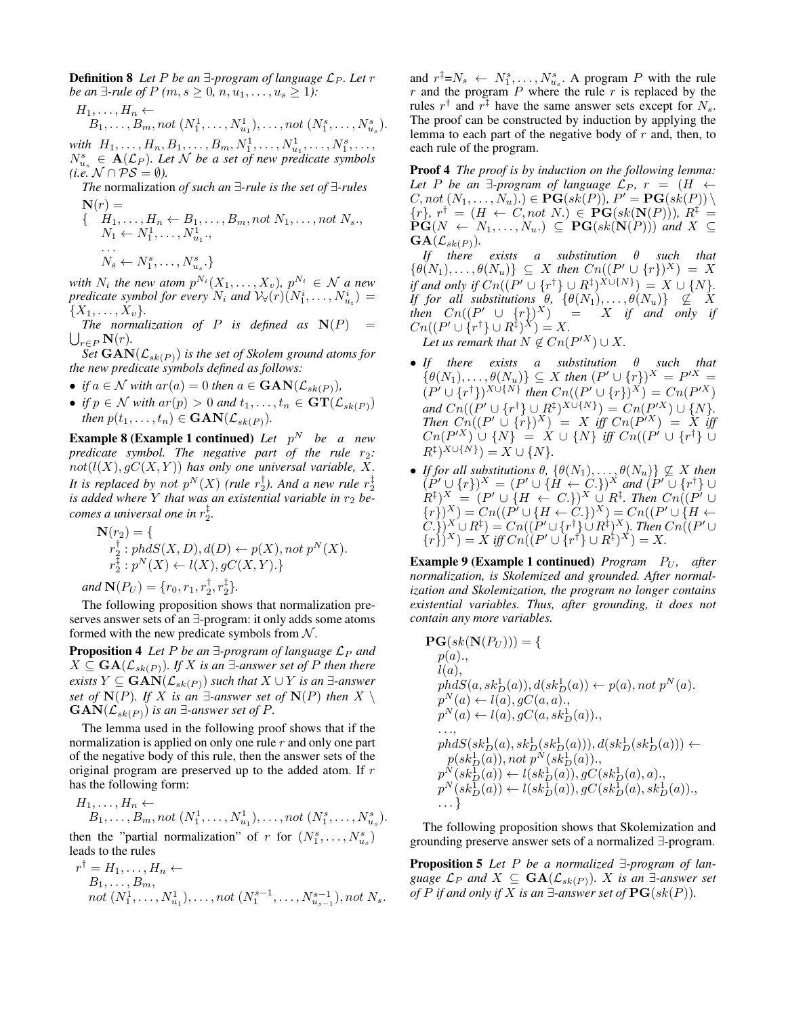**Definition 8** Let P be an  $\exists$ -program of language  $\mathcal{L}_P$ . Let r *be an*  $\exists$ -*rule of*  $P(m, s \ge 0, n, u_1, \ldots, u_s \ge 1)$ :

$$
H_1,\ldots,H_n \leftarrow
$$

$$
B_1, \ldots, B_m, not (N_1^1, \ldots, N_{u_1}^1), \ldots, not (N_1^s, \ldots, N_{u_s}^s).
$$

*with*  $H_1, \ldots, H_n, B_1, \ldots, B_m, N_1^1, \ldots, N_{u_1}^1, \ldots, N_1^s, \ldots,$  $N_{u_s}^s \in \mathbf{A}(\mathcal{L}_P)$ *. Let* N *be a set of new predicate symbols (i.e.*  $N$  ∩  $PS = ∅$ *).* 

*The* normalization *of such an* ∃*-rule is the set of* ∃*-rules*  $\mathbf{N}(r) =$ 

 $\{ H_1, \ldots, H_n \leftarrow B_1, \ldots, B_m, not N_1, \ldots, not N_s.,\}$  $N_1 \leftarrow N_1^1, \ldots, N_{u_1}^1,$ . . .  $N_s \leftarrow N_1^s, \ldots, N_{u_s}^s.$ 

*with*  $N_i$  the new atom  $p^{N_i}(X_1, \ldots, X_v)$ ,  $p^{N_i} \in \mathcal{N}$  a new *predicate symbol for every*  $N_i$  *and*  $V_v(r)$  $(N_1^i, \ldots, N_{u_i}^i)$  =  $\{X_1, \ldots, X_v\}.$ 

 $\bigcup_{r\in P} \mathbf{N}(r)$ . *The normalization of*  $P$  *is defined as*  $N(P)$ 

*Set*  $GAN(\mathcal{L}_{sk(P)})$  *is the set of Skolem ground atoms for the new predicate symbols defined as follows:*

- *if*  $a \in \mathcal{N}$  *with*  $ar(a) = 0$  *then*  $a \in \text{GAN}(\mathcal{L}_{sk(P)})$ *,*
- *if*  $p \in \mathcal{N}$  *with*  $ar(p) > 0$  *and*  $t_1, \ldots, t_n \in \mathbf{GT}(\mathcal{L}_{sk(P)})$ *then*  $p(t_1, \ldots, t_n) \in \text{GAN}(\mathcal{L}_{sk(P)})$ .

**Example 8 (Example 1 continued)** Let  $p^N$  be a new *predicate symbol. The negative part of the rule*  $r_2$ *:*  $not(l(X), gC(X, Y))$  has only one universal variable, X. It is replaced by not  $p^N(X)$  (rule  $r_2^{\dagger}$ ). And a new rule  $r_2^{\ddagger}$ *is added where*  $Y$  *that was an existential variable in*  $r_2$  *becomes a universal one in* r ‡ 2 *.*

$$
\mathbf{N}(r_2) = \{ \n r_2^{\dagger} : phdS(X, D), d(D) \leftarrow p(X), not p^N(X). \n r_2^{\dagger} : p^N(X) \leftarrow l(X), gC(X, Y). \}
$$
\nand  $\mathbf{N}(P_U) = \{r_0, r_1, r_2^{\dagger}, r_2^{\dagger}\}.$ 

The following proposition shows that normalization preserves answer sets of an ∃-program: it only adds some atoms formed with the new predicate symbols from  $N$ .

**Proposition 4** *Let* P *be an*  $\exists$ -program of language  $\mathcal{L}_P$  *and*  $X ⊆ **GA**(\mathcal{L}_{sk(P)})$ *. If* X *is an* ∃-answer set of P then there *exists*  $Y \subseteq$  **GAN**( $\mathcal{L}_{sk(P)}$ ) *such that*  $X \cup Y$  *is an* ∃*-answer set of*  $N(P)$ *. If* X *is an*  $\exists$ *-answer set of*  $N(P)$  *then*  $X \setminus$  $GAN(\mathcal{L}_{sk(P)})$  *is an* ∃-*answer set of* P.

The lemma used in the following proof shows that if the normalization is applied on only one rule  $r$  and only one part of the negative body of this rule, then the answer sets of the original program are preserved up to the added atom. If r has the following form:

$$
H_1, \ldots, H_n \leftarrow
$$
  
\n
$$
B_1, \ldots, B_m, not (N_1^1, \ldots, N_{u_1}^1), \ldots, not (N_1^s, \ldots, N_{u_s}^s).
$$

then the "partial normalization" of r for  $(N_1^s, \ldots, N_{u_s}^s)$ leads to the rules

$$
r^{\dagger} = H_1, \dots, H_n \leftarrow
$$
  
\n
$$
B_1, \dots, B_m,
$$
  
\n
$$
not (N_1^1, \dots, N_{u_1}^1), \dots, not (N_1^{s-1}, \dots, N_{u_{s-1}}^{s-1}), not N_s.
$$

and  $r^{\ddagger} = N_s \leftarrow N_1^s, \dots, N_{u_s}^s$ . A program P with the rule  $r$  and the program  $P$  where the rule  $r$  is replaced by the rules  $r^{\dagger}$  and  $r^{\dagger}$  have the same answer sets except for  $N_s$ . The proof can be constructed by induction by applying the lemma to each part of the negative body of  $r$  and, then, to each rule of the program.

Proof 4 *The proof is by induction on the following lemma: Let* P *be an*  $\exists$ -program of language  $\mathcal{L}_P$ ,  $r = (H \leftarrow$  $C, not (N_1, \ldots, N_u)$ .)  $\in \mathbf{PG}(sk(P))$ ,  $P' = \mathbf{PG}(sk(P)) \setminus$  ${r}$ ,  $r^{\dagger} = (H \leftarrow C, not \ N.) \in \mathbf{PG}(sk(\mathbf{N}(P))), R^{\ddagger} =$  $PG(N \leftarrow N_1, \ldots, N_u) \subseteq PG(sk(N(P)))$  and  $X \subseteq$  $\mathbf{GA}(\mathcal{L}_{sk(P)}).$ 

*If there exists a substitution* θ *such that*  $\{\theta(N_1), \ldots, \theta(N_u)\} \subseteq X$  then  $Cn((P' \cup \{r\})^X) = X$ *if and only if*  $Cn((P' \cup \{r^{\dagger}\} \cup R^{\ddagger})^{X \cup \{N\}}) = X \cup \{N\}.$ *If for all substitutions*  $\theta$ ,  $\{\theta(N_1), \ldots, \theta(N_u)\}$   $\subset \subset X$ *then*  $C_n((P' \cup \{r\})^X) = X$  *if and only if*  $C_n((P' \cup \{r^{\dagger}\} \cup R^{\ddagger})^X) = X.$ Let us remark that  $N \notin Cn(P^{\prime X}) \cup X$ .

- *If there exists a substitution* θ *such that*  $\{\theta(N_1), \ldots, \theta(N_u)\} \subseteq X$  then  $(P' \cup \{r\})^X = P'X =$  $(P' \cup \{r^{\dagger}\})^{X \cup \{N\}}$  then  $Cn((P' \cup \{r\})^X) = Cn(P'X)$  $and Cn((P' \cup \{r^{\dagger}\} \cup R^{\ddagger})^{X \cup \{N\}}) = Cn(P'X) \cup \{N\}.$  $Then \ \overrightarrow{Cn}((P' \cup \{r\})^X) = X \ \overrightarrow{iff} \ \overrightarrow{Cn}(P^{\prime X}) = X \ \overrightarrow{iff}$  $C_n(P^{\prime X})$   $\cup$   $\{N\}$  =  $X \cup \{N\}$  *iff*  $C_n((P^{\prime} \cup \{r^{\dagger}\})$   $\cup$  $R^{\ddagger}$ )<sup>X∪{N}</sup>) = X ∪ {N}.
- *If for all substitutions*  $\theta$ ,  $\{\theta(N_1), \ldots, \theta(N_u)\} \nsubseteq X$  *then*  $(P' \cup \{r\})^X = (P' \cup \{\tilde{H} \leftarrow C.\})^X$  and  $(P' \cup \{r^{\dagger}\} \cup$  $(R^{\ddagger})^X = (P' \cup \{H \leftarrow C.\})^X \cup R^{\ddagger}$ . Then  $Cn((P' \cup$  $\{r\})^X$ ) =  $Cn((P' \cup \{H \leftarrow C.\})^X) = Cn((P' \cup \{H \leftarrow C.\})^X)$  $(C.\})^X \cup R^{\ddagger}) = Cn((P' \cup \{r^{\dagger}\} \cup R^{\ddagger})^X)$ . Then  $Cn((P' \cup$  ${r \choose r}^X = X \text{ iff } Cn \left( (P' \cup \{r^{\dagger}\} \cup R^{\ddagger})^X \right) = X.$

**Example 9 (Example 1 continued)** *Program*  $P_U$ , after *normalization, is Skolemized and grounded. After normalization and Skolemization, the program no longer contains existential variables. Thus, after grounding, it does not contain any more variables.*

$$
\begin{aligned} &\mathbf{PG}(sk(\mathbf{N}(P_U))) = \{ \\ & p(a), \\ & l(a), \\ & phdS(a, sk_D^1(a)), d(sk_D^1(a)) \leftarrow p(a), not p^N(a). \\ & p^N(a) \leftarrow l(a), gC(a, a), \\ & p^N(a) \leftarrow l(a), gC(a, sk_D^1(a)), \\ & \dots, \\ & phdS(sk_D^1(a), sk_D^1(sk_D^1(a))), d(sk_D^1(sk_D^1(a))) \leftarrow \\ & p(sk_D^1(a)), not p^N(sk_D^1(a)), \\ & p^N(sk_D^1(a)) \leftarrow l(sk_D^1(a)), gC(sk_D^1(a), a), \\ & p^N(sk_D^1(a)) \leftarrow l(sk_D^1(a)), gC(sk_D^1(a), sk_D^1(a)), \\ & \dots \} \end{aligned}
$$

The following proposition shows that Skolemization and grounding preserve answer sets of a normalized ∃-program.

Proposition 5 *Let* P *be a normalized* ∃*-program of language*  $\mathcal{L}_P$  *and*  $X \subseteq \textbf{GA}(\mathcal{L}_{sk(P)})$ *.* X *is an* ∃*-answer set of* P *if and only if* X *is an*  $\exists$ -*answer set of*  $\text{PG}(sk(P))$ *.*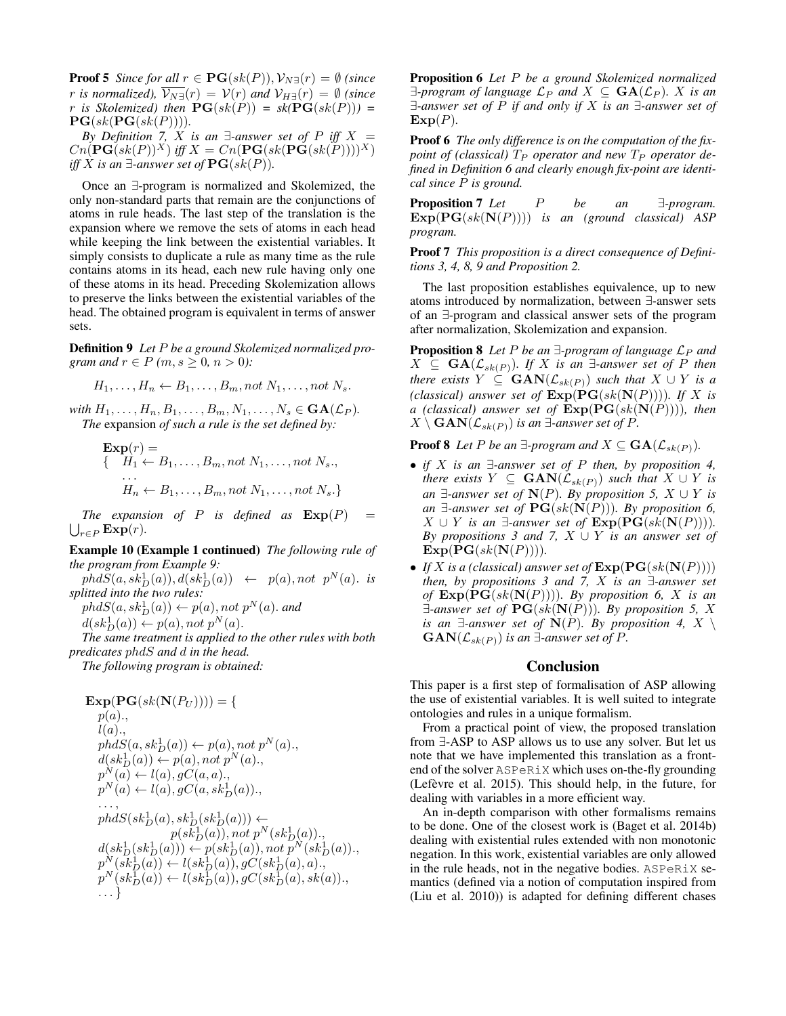**Proof 5** *Since for all*  $r \in \mathbf{PG}(sk(P)), \mathcal{V}_{N\exists}(r) = \emptyset$  *(since r is normalized),*  $\overline{\mathcal{V}_{N}^{\exists}}(r) = \mathcal{V}(r)$  *and*  $\mathcal{V}_{H}^{\exists}(r) = \emptyset$  *(since* r *is Skolemized*) then  $\textbf{PG}(sk(P)) = sk(\textbf{PG}(sk(P))) =$  $PG(sk(PG(sk(P))))$ .

*By Definition 7, X is an*  $\exists$ -answer set of P *iff* X =  $Cn(\mathbf{PG}(sk(P))^X)$  *iff*  $X = Cn(\mathbf{PG}(sk(\mathbf{PG}(sk(P))))^X)$ *iff X is an* ∃-*answer set of*  $\textbf{PG}(sk(P))$ *.* 

Once an ∃-program is normalized and Skolemized, the only non-standard parts that remain are the conjunctions of atoms in rule heads. The last step of the translation is the expansion where we remove the sets of atoms in each head while keeping the link between the existential variables. It simply consists to duplicate a rule as many time as the rule contains atoms in its head, each new rule having only one of these atoms in its head. Preceding Skolemization allows to preserve the links between the existential variables of the head. The obtained program is equivalent in terms of answer sets.

Definition 9 *Let* P *be a ground Skolemized normalized program and*  $r \in P$  *(m, s \iii)* 0*, n > 0):* 

$$
H_1,\ldots,H_n \leftarrow B_1,\ldots,B_m, not\ N_1,\ldots,not\ N_s.
$$

*with*  $H_1, \ldots, H_n, B_1, \ldots, B_m, N_1, \ldots, N_s \in \mathbf{GA}(\mathcal{L}_P)$ *. The* expansion *of such a rule is the set defined by:*

$$
\begin{aligned} \mathbf{Exp}(r) &= \\ \{ \quad H_1 \leftarrow B_1, \dots, B_m, \text{not } N_1, \dots, \text{not } N_s, \\ \dots \\ H_n \leftarrow B_1, \dots, B_m, \text{not } N_1, \dots, \text{not } N_s. \} \end{aligned}
$$

 $\bigcup_{r\in P}\mathrm{Exp}(r).$ *The expansion of*  $P$  *is defined as*  $\text{Exp}(P)$ 

Example 10 (Example 1 continued) *The following rule of the program from Example 9:*

 $phdS(a, sk_D^1(a)), d(sk_D^1(a)) \leftarrow p(a), not p^N(a).$  *is splitted into the two rules:*

 $phdS(a, sk_D^1(a)) \leftarrow p(a), not p^N(a).$  and  $d(sk_D^1(a)) \leftarrow p(a), not p^N(a).$ 

*The same treatment is applied to the other rules with both predicates* phdS *and* d *in the head.*

*The following program is obtained:*

$$
\begin{array}{l} \mathbf{Exp}(\mathbf{PG}(sk(\mathbf{N}(P_U))))=\{ \\ p(a),\\ l(a),\\ l(a),\\ phdS(a, sk_D^1(a)) \leftarrow p(a), not\ p^N(a),\\ d(sk_D^1(a)) \leftarrow p(a), not\ p^N(a),\\ p^N(a) \leftarrow l(a), gC(a, a),\\ p^N(a) \leftarrow l(a), gC(a, sk_D^1(a)),\\ \dots,\\ phdS(sk_D^1(a), sk_D^1(sh_D^1(a))) \leftarrow\\ p(sk_D^1(a)), not\ p^N(sk_D^1(a)),\\ d(sk_D^1(sk_D^1(a))) \leftarrow p(sk_D^1(a)), not\ p^N(sk_D^1(a)),\\ p^N(sk_D^1(a)) \leftarrow l(sk_D^1(a)), gC(sk_D^1(a), a),\\ p^N(sk_D^1(a)) \leftarrow l(sk_D^1(a)), gC(sk_D^1(a), sk(a)),\\ \dots \} \end{array}
$$

Proposition 6 *Let* P *be a ground Skolemized normalized*  $\exists$ -program of language  $\mathcal{L}_P$  and  $X \subseteq \mathbf{GA}(\mathcal{L}_P)$ . X is an ∃*-answer set of* P *if and only if* X *is an* ∃*-answer set of*  $\mathbf{Exp}(P)$ .

Proof 6 *The only difference is on the computation of the fixpoint of (classical)*  $T_P$  *operator and new*  $T_P$  *operator defined in Definition 6 and clearly enough fix-point are identical since* P *is ground.*

**Proposition 7** *Let P be an* ∃*-program.* Exp(PG(sk(N(P)))) *is an (ground classical) ASP program.*

Proof 7 *This proposition is a direct consequence of Definitions 3, 4, 8, 9 and Proposition 2.*

The last proposition establishes equivalence, up to new atoms introduced by normalization, between ∃-answer sets of an ∃-program and classical answer sets of the program after normalization, Skolemization and expansion.

**Proposition 8** Let P be an  $\exists$ -program of language  $\mathcal{L}_P$  and  $X$  ⊆ **GA**( $\mathcal{L}_{sk(P)}$ )*.* If X is an ∃-answer set of P then *there exists*  $Y \subseteq GAM(\mathcal{L}_{sk(P)})$  *such that*  $X \cup Y$  *is a (classical) answer set of*  $\text{Exp}(\widehat{\text{PG}}(sk(\textbf{N}(P))))$ *. If* X is *a (classical) answer set of* Exp(PG(sk(N(P))))*, then*  $X \setminus \textbf{GAN}(\mathcal{L}_{sk(P)})$  *is an* ∃*-answer set of*  $P$ *.* 

**Proof 8** Let P be an  $\exists$ -program and  $X \subseteq \textbf{GA}(\mathcal{L}_{sk(P)})$ .

- *if* X *is an* ∃*-answer set of* P *then, by proposition 4, there exists*  $Y \subseteq \text{GAN}(\mathcal{L}_{sk(P)})$  *such that*  $X \cup Y$  *is an* ∃-*answer set of*  $N(P)$ *. By proposition 5,*  $X ∪ Y$  *is an* ∃-*answer set of*  $PG(sk(N(P)))$ *. By proposition 6, X* ∪ *Y is an* ∃-*answer set of*  $\text{Exp}(PG(sk(N(P))))$ *. By propositions 3 and 7,* X ∪ Y *is an answer set of*  $Exp(PG(sk(N(P))))$ .
- *If* X is a (classical) answer set of  $\text{Exp}(PG(sk(N(P))))$ *then, by propositions 3 and 7,* X *is an* ∃*-answer set of* Exp(PG(sk(N(P))))*. By proposition 6,* X *is an* ∃*-answer set of* PG(sk(N(P)))*. By proposition 5,* X *is an*  $\exists$ -answer set of  $N(P)$ *. By proposition 4, X*  $\setminus$  $GAN(\mathcal{L}_{sk(P)})$  *is an* ∃-*answer set of* P.

### **Conclusion**

This paper is a first step of formalisation of ASP allowing the use of existential variables. It is well suited to integrate ontologies and rules in a unique formalism.

From a practical point of view, the proposed translation from ∃-ASP to ASP allows us to use any solver. But let us note that we have implemented this translation as a frontend of the solver ASPeRiX which uses on-the-fly grounding (Lefèvre et al. 2015). This should help, in the future, for dealing with variables in a more efficient way.

An in-depth comparison with other formalisms remains to be done. One of the closest work is (Baget et al. 2014b) dealing with existential rules extended with non monotonic negation. In this work, existential variables are only allowed in the rule heads, not in the negative bodies. ASPeRiX semantics (defined via a notion of computation inspired from (Liu et al. 2010)) is adapted for defining different chases